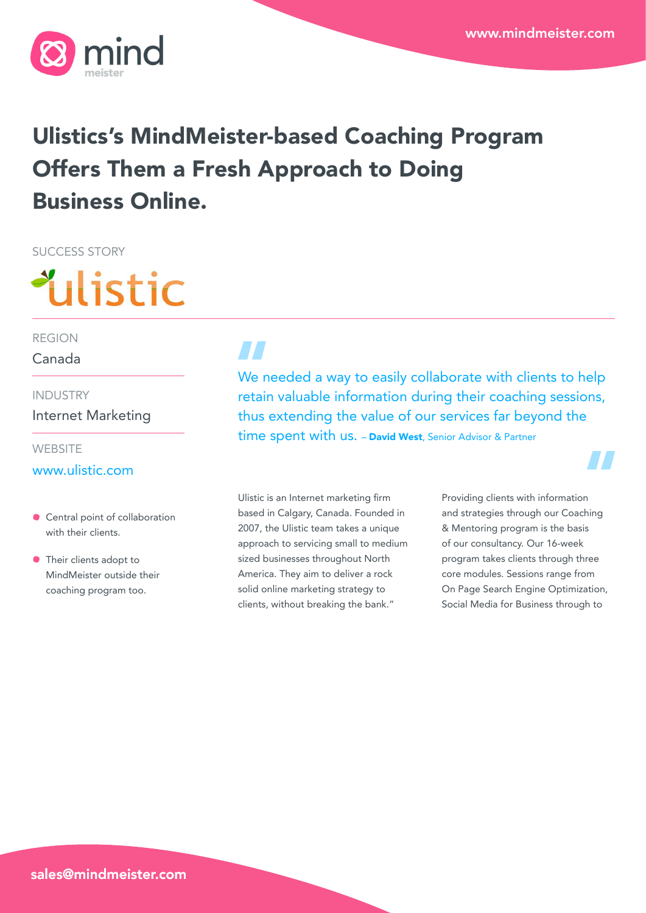

## Ulistics's MindMeister-based Coaching Program Offers Them a Fresh Approach to Doing Business Online.

SUCCESS STORY

# *<u>Ulistic</u>*

#### REGION

#### Canada

INDUSTRY

Internet Marketing

#### **WEBSITE**

#### [www.ulistic.com](http://www.ulistic.com)

- Central point of collaboration with their clients.
- **•** Their clients adopt to MindMeister outside their coaching program too.

### $\boldsymbol{\mathcal{H}}$

We needed a way to easily collaborate with clients to help retain valuable information during their coaching sessions, thus extending the value of our services far beyond the time spent with us. - David West, Senior Advisor & Partner

Ulistic is an Internet marketing firm based in Calgary, Canada. Founded in 2007, the Ulistic team takes a unique approach to servicing small to medium sized businesses throughout North America. They aim to deliver a rock solid online marketing strategy to clients, without breaking the bank."

Providing clients with information and strategies through our Coaching & Mentoring program is the basis of our consultancy. Our 16-week program takes clients through three core modules. Sessions range from On Page Search Engine Optimization, Social Media for Business through to